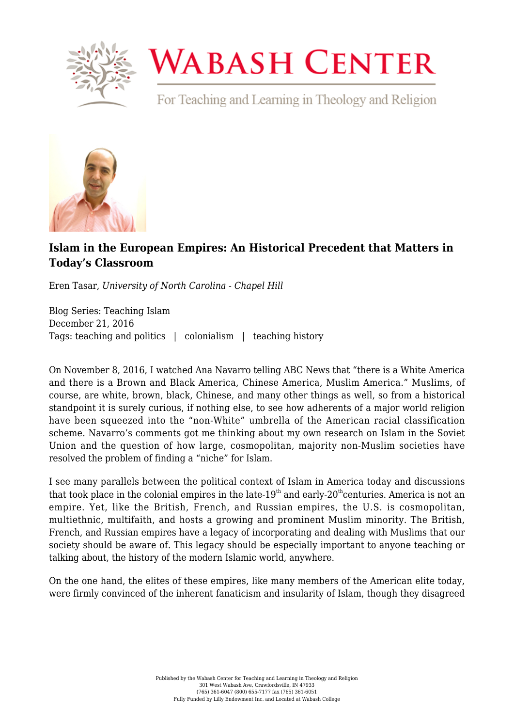

## **WABASH CENTER**

For Teaching and Learning in Theology and Religion



## **[Islam in the European Empires: An Historical Precedent that Matters in](https://www.wabashcenter.wabash.edu/2016/12/islam-in-the-european-empires-an-historical-precedent-that-matters-in-todays-classroom/) [Today's Classroom](https://www.wabashcenter.wabash.edu/2016/12/islam-in-the-european-empires-an-historical-precedent-that-matters-in-todays-classroom/)**

Eren Tasar, *University of North Carolina - Chapel Hill*

Blog Series: Teaching Islam December 21, 2016 Tags: teaching and politics | colonialism | teaching history

On November 8, 2016, I watched Ana Navarro telling ABC News that "there is a White America and there is a Brown and Black America, Chinese America, Muslim America." Muslims, of course, are white, brown, black, Chinese, and many other things as well, so from a historical standpoint it is surely curious, if nothing else, to see how adherents of a major world religion have been squeezed into the "non-White" umbrella of the American racial classification scheme. Navarro's comments got me thinking about my own research on Islam in the Soviet Union and the question of how large, cosmopolitan, majority non-Muslim societies have resolved the problem of finding a "niche" for Islam.

I see many parallels between the political context of Islam in America today and discussions that took place in the colonial empires in the late-19<sup>th</sup> and early-20<sup>th</sup>centuries. America is not an empire. Yet, like the British, French, and Russian empires, the U.S. is cosmopolitan, multiethnic, multifaith, and hosts a growing and prominent Muslim minority. The British, French, and Russian empires have a legacy of incorporating and dealing with Muslims that our society should be aware of. This legacy should be especially important to anyone teaching or talking about, the history of the modern Islamic world, anywhere.

On the one hand, the elites of these empires, like many members of the American elite today, were firmly convinced of the inherent fanaticism and insularity of Islam, though they disagreed